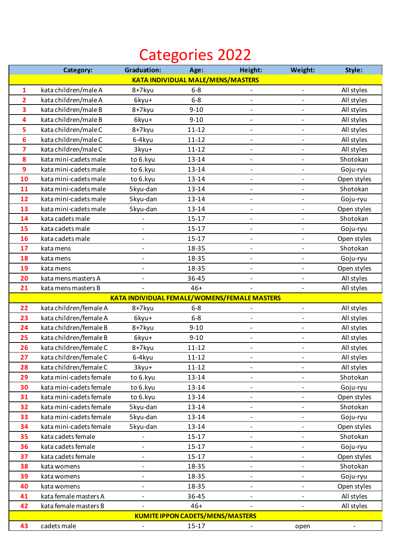## Categories 2022

|                                          | Category:               | <b>Graduation:</b>           | Age:      | Height:                                             | Weight:                  | Style:                   |  |
|------------------------------------------|-------------------------|------------------------------|-----------|-----------------------------------------------------|--------------------------|--------------------------|--|
| <b>KATA INDIVIDUAL MALE/MENS/MASTERS</b> |                         |                              |           |                                                     |                          |                          |  |
| $\mathbf{1}$                             | kata children/male A    | 8+7kyu                       | $6 - 8$   |                                                     | $\overline{\phantom{a}}$ | All styles               |  |
| $\overline{2}$                           | kata children/male A    | 6kyu+                        | $6-8$     | $\qquad \qquad -$                                   |                          | All styles               |  |
| $\overline{\mathbf{3}}$                  | kata children/male B    | 8+7kyu                       | $9 - 10$  | $\overline{\phantom{a}}$                            | $\overline{\phantom{a}}$ | All styles               |  |
| 4                                        | kata children/male B    | 6kyu+                        | $9 - 10$  | $\qquad \qquad -$                                   |                          | All styles               |  |
| 5                                        | kata children/male C    | 8+7kyu                       | $11 - 12$ | $\qquad \qquad \blacksquare$                        | $\overline{\phantom{0}}$ | All styles               |  |
| 6                                        | kata children/male C    | 6-4kyu                       | $11 - 12$ | $\qquad \qquad \blacksquare$                        | $\overline{\phantom{a}}$ | All styles               |  |
| $\overline{7}$                           | kata children/male C    | 3kyu+                        | $11 - 12$ | $\overline{\phantom{0}}$                            |                          | All styles               |  |
| 8                                        | kata mini-cadets male   | to 6.kyu                     | 13-14     | $\qquad \qquad \blacksquare$                        |                          | Shotokan                 |  |
| 9                                        | kata mini-cadets male   | to 6.kyu                     | 13-14     | $\qquad \qquad -$                                   |                          | Goju-ryu                 |  |
| 10                                       | kata mini-cadets male   | to 6.kyu                     | 13-14     | $\qquad \qquad \blacksquare$                        |                          | Open styles              |  |
| 11                                       | kata mini-cadets male   | 5kyu-dan                     | 13-14     | $\overline{a}$                                      |                          | Shotokan                 |  |
| 12                                       | kata mini-cadets male   | 5kyu-dan                     | 13-14     | $\qquad \qquad \blacksquare$                        |                          | Goju-ryu                 |  |
| 13                                       | kata mini-cadets male   | 5kyu-dan                     | 13-14     |                                                     |                          | Open styles              |  |
| 14                                       | kata cadets male        |                              | $15-17$   | $\qquad \qquad -$                                   |                          | Shotokan                 |  |
| 15                                       | kata cadets male        |                              | $15 - 17$ |                                                     |                          | Goju-ryu                 |  |
| 16                                       | kata cadets male        | $\frac{1}{2}$                | $15 - 17$ | $\qquad \qquad \blacksquare$                        |                          | Open styles              |  |
| 17                                       | kata mens               | $\overline{\phantom{a}}$     | 18-35     | $\overline{a}$                                      |                          | Shotokan                 |  |
| 18                                       | kata mens               | $\qquad \qquad -$            | 18-35     | $\qquad \qquad \blacksquare$                        | $\overline{\phantom{0}}$ | Goju-ryu                 |  |
| 19                                       | kata mens               |                              | 18-35     |                                                     |                          | Open styles              |  |
| 20                                       | kata mens masters A     | $\overline{\phantom{a}}$     | 36-45     | -                                                   |                          | All styles               |  |
| 21                                       | kata mens masters B     | $\overline{\phantom{a}}$     | $46+$     | $\qquad \qquad \blacksquare$                        |                          | All styles               |  |
|                                          |                         |                              |           | <b>KATA INDIVIDUAL FEMALE/WOMENS/FEMALE MASTERS</b> |                          |                          |  |
| 22                                       | kata children/female A  | 8+7kyu                       | $6 - 8$   |                                                     |                          | All styles               |  |
| 23                                       | kata children/female A  | 6kyu+                        | $6 - 8$   | $\overline{a}$                                      |                          | All styles               |  |
| 24                                       | kata children/female B  | 8+7kyu                       | $9 - 10$  | $\overline{a}$                                      |                          | All styles               |  |
| 25                                       | kata children/female B  | 6kyu+                        | $9 - 10$  | $\overline{a}$                                      |                          | All styles               |  |
| 26                                       | kata children/female C  | 8+7kyu                       | $11 - 12$ |                                                     |                          | All styles               |  |
| 27                                       | kata children/female C  | 6-4kyu                       | $11 - 12$ |                                                     |                          | All styles               |  |
| 28                                       | kata children/female C  | 3kyu+                        | $11 - 12$ |                                                     |                          | All styles               |  |
| 29                                       | kata mini-cadets female | to 6.kyu                     | 13-14     | $\qquad \qquad \blacksquare$                        |                          | Shotokan                 |  |
| 30                                       | kata mini-cadets female | to 6.kyu                     | 13-14     | -                                                   |                          | Goju-ryu                 |  |
| 31                                       | kata mini-cadets female | to 6.kyu                     | 13-14     |                                                     |                          | Open styles              |  |
| 32                                       | kata mini-cadets female | 5kyu-dan                     | 13-14     | -                                                   |                          | Shotokan                 |  |
| 33                                       | kata mini-cadets female | 5kyu-dan                     | 13-14     | $\overline{\phantom{0}}$                            |                          | Goju-ryu                 |  |
| 34                                       | kata mini-cadets female | 5kyu-dan                     | 13-14     | $\qquad \qquad \blacksquare$                        |                          | Open styles              |  |
| 35                                       | kata cadets female      |                              | $15-17$   | $\qquad \qquad \blacksquare$                        |                          | Shotokan                 |  |
| 36                                       | kata cadets female      | $\qquad \qquad -$            | $15 - 17$ |                                                     |                          | Goju-ryu                 |  |
| 37                                       | kata cadets female      | $\qquad \qquad \blacksquare$ | $15 - 17$ | $\qquad \qquad -$                                   |                          | Open styles              |  |
| 38                                       | kata womens             | $\qquad \qquad -$            | 18-35     | $\qquad \qquad \blacksquare$                        | $\overline{\phantom{0}}$ | Shotokan                 |  |
| 39                                       | kata womens             | $\qquad \qquad -$            | 18-35     |                                                     |                          | Goju-ryu                 |  |
| 40                                       | kata womens             | $\qquad \qquad -$            | 18-35     | -                                                   | $\overline{\phantom{0}}$ | Open styles              |  |
| 41                                       | kata female masters A   | $\qquad \qquad -$            | 36-45     | $\overline{\phantom{0}}$                            |                          | All styles               |  |
| 42                                       | kata female masters B   | $\qquad \qquad -$            | $46+$     | $\qquad \qquad -$                                   |                          | All styles               |  |
| <b>KUMITE IPPON CADETS/MENS/MASTERS</b>  |                         |                              |           |                                                     |                          |                          |  |
| 43                                       | cadets male             | $\overline{\phantom{a}}$     | $15 - 17$ |                                                     | open                     | $\overline{\phantom{a}}$ |  |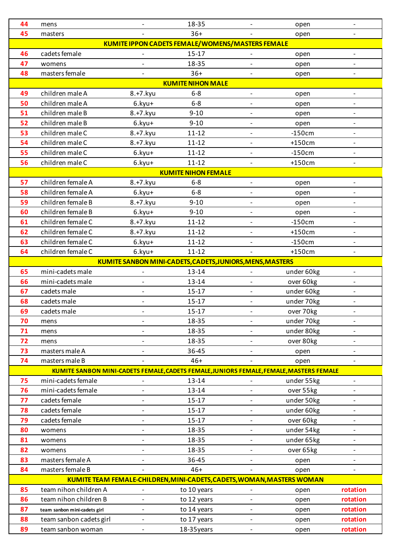| 44       | mens                                                                                    |                          | 18-35                                                                  |                          | open                    | $\overline{\phantom{a}}$                             |  |  |  |
|----------|-----------------------------------------------------------------------------------------|--------------------------|------------------------------------------------------------------------|--------------------------|-------------------------|------------------------------------------------------|--|--|--|
| 45       | masters                                                                                 |                          | $36+$                                                                  |                          | open                    |                                                      |  |  |  |
|          | <b>KUMITE IPPON CADETS FEMALE/WOMENS/MASTERS FEMALE</b>                                 |                          |                                                                        |                          |                         |                                                      |  |  |  |
| 46       | cadets female                                                                           |                          | $15-17$                                                                |                          | open                    | $\overline{\phantom{a}}$                             |  |  |  |
| 47       | womens                                                                                  | $\overline{\phantom{0}}$ | 18-35                                                                  |                          | open                    | $\overline{\phantom{0}}$                             |  |  |  |
| 48       | masters female                                                                          |                          | $36+$                                                                  |                          | open                    | $\overline{\phantom{a}}$                             |  |  |  |
|          | <b>KUMITE NIHON MALE</b>                                                                |                          |                                                                        |                          |                         |                                                      |  |  |  |
| 49       | children male A                                                                         | 8.+7.kyu                 | $6 - 8$                                                                | $\overline{\phantom{a}}$ | open                    | $\overline{\phantom{a}}$                             |  |  |  |
| 50       | children male A                                                                         | 6.kyu+                   | $6-8$                                                                  |                          | open                    | $\overline{\phantom{0}}$                             |  |  |  |
| 51       | children male B                                                                         | 8.+7.kyu                 | $9 - 10$                                                               | $\overline{a}$           | open                    | $\overline{\phantom{a}}$                             |  |  |  |
| 52       | children male B                                                                         | 6.kyu+                   | $9 - 10$                                                               | $\overline{\phantom{0}}$ | open                    | $\overline{\phantom{a}}$                             |  |  |  |
| 53       | children male C                                                                         | 8.+7.kyu                 | $11 - 12$                                                              | $\overline{\phantom{a}}$ | $-150cm$                | $\overline{\phantom{a}}$                             |  |  |  |
| 54       | children male C                                                                         | 8.+7.kyu                 | $11 - 12$                                                              |                          | +150cm                  | $\overline{\phantom{a}}$                             |  |  |  |
| 55       | children male C                                                                         | $6.kyu+$                 | $11 - 12$                                                              | $\overline{\phantom{0}}$ | $-150cm$                | $\overline{\phantom{a}}$                             |  |  |  |
| 56       | children male C                                                                         | 6.kyu+                   | $11 - 12$                                                              | $\overline{\phantom{a}}$ | $+150cm$                | $\overline{\phantom{a}}$                             |  |  |  |
|          |                                                                                         |                          | <b>KUMITE NIHON FEMALE</b>                                             |                          |                         |                                                      |  |  |  |
| 57       | children female A                                                                       | 8.+7.kyu                 | $6-8$                                                                  | $\overline{\phantom{a}}$ | open                    | $\overline{\phantom{a}}$                             |  |  |  |
| 58       | children female A                                                                       | $6.kyu+$                 | $6-8$                                                                  | $\overline{\phantom{a}}$ | open                    | $\overline{\phantom{a}}$                             |  |  |  |
| 59       | children female B                                                                       | 8.+7.kyu                 | $9 - 10$                                                               | $\overline{a}$           | open                    | $\overline{\phantom{a}}$                             |  |  |  |
| 60       | children female B                                                                       | $6.kyu+$                 | $9 - 10$                                                               | $\overline{a}$           | open                    | $\overline{\phantom{a}}$                             |  |  |  |
| 61       | children female C                                                                       | 8.+7.kyu                 | $11 - 12$                                                              |                          | $-150cm$                | $\overline{\phantom{0}}$                             |  |  |  |
| 62       | children female C                                                                       | 8.+7.kyu                 | $11 - 12$                                                              | $\overline{a}$           | $+150cm$                | $\overline{\phantom{a}}$                             |  |  |  |
| 63       | children female C                                                                       | 6.kyu+                   | $11 - 12$                                                              | $\overline{a}$           | $-150cm$                | $\overline{\phantom{a}}$                             |  |  |  |
| 64       | children female C                                                                       | $6.kyu+$                 | $11 - 12$                                                              |                          | $+150cm$                | $\overline{\phantom{a}}$                             |  |  |  |
|          |                                                                                         |                          | KUMITE SANBON MINI-CADETS, CADETS, JUNIORS, MENS, MASTERS              |                          |                         |                                                      |  |  |  |
| 65       | mini-cadets male                                                                        | $\overline{\phantom{a}}$ | 13-14                                                                  |                          | under 60kg              | $\overline{\phantom{a}}$                             |  |  |  |
| 66       | mini-cadets male                                                                        | $\overline{\phantom{0}}$ | 13-14                                                                  | $\overline{\phantom{0}}$ | over 60kg               | $\overline{\phantom{a}}$                             |  |  |  |
| 67       | cadets male                                                                             | $\overline{a}$           | $15 - 17$                                                              | $\overline{a}$           | under 60kg              | $\overline{\phantom{a}}$                             |  |  |  |
| 68       | cadets male                                                                             |                          | $15 - 17$                                                              |                          | under 70kg              | $\overline{\phantom{0}}$                             |  |  |  |
| 69       | cadets male                                                                             |                          | 15-17                                                                  |                          | over 70kg               | $\overline{\phantom{a}}$                             |  |  |  |
| 70       | mens                                                                                    |                          | 18-35                                                                  |                          | under 70kg              | $\overline{\phantom{0}}$                             |  |  |  |
| 71       | mens                                                                                    |                          | 18-35                                                                  |                          | under 80kg              |                                                      |  |  |  |
| 72       | mens                                                                                    | $\overline{\phantom{0}}$ | 18-35                                                                  | $\overline{a}$           | over 80kg               | $\overline{\phantom{0}}$                             |  |  |  |
| 73       | masters male A                                                                          |                          | 36-45                                                                  |                          | open                    | $\overline{\phantom{0}}$                             |  |  |  |
| 74       | masters male B                                                                          |                          | $46+$                                                                  |                          | open                    | $\overline{\phantom{0}}$                             |  |  |  |
|          | KUMITE SANBON MINI-CADETS FEMALE, CADETS FEMALE, JUNIORS FEMALE, FEMALE, MASTERS FEMALE |                          |                                                                        |                          |                         |                                                      |  |  |  |
| 75       | mini-cadets female                                                                      | $\overline{\phantom{0}}$ | $13 - 14$                                                              | $\overline{\phantom{0}}$ | under 55kg              | $\overline{\phantom{a}}$                             |  |  |  |
| 76<br>77 | mini-cadets female                                                                      |                          | $13 - 14$                                                              |                          | over 55kg               |                                                      |  |  |  |
| 78       | cadets female                                                                           | $\overline{a}$           | $15 - 17$                                                              |                          | under 50kg              |                                                      |  |  |  |
| 79       | cadets female<br>cadets female                                                          | $\overline{\phantom{0}}$ | $15 - 17$<br>$15 - 17$                                                 | $\qquad \qquad -$        | under 60kg              | $\overline{\phantom{0}}$<br>$\overline{\phantom{0}}$ |  |  |  |
| 80       |                                                                                         |                          | 18-35                                                                  | $\overline{\phantom{0}}$ | over 60kg<br>under 54kg |                                                      |  |  |  |
| 81       | womens<br>womens                                                                        |                          | 18-35                                                                  |                          | under 65kg              |                                                      |  |  |  |
| 82       |                                                                                         | $\overline{a}$           | 18-35                                                                  | $\overline{\phantom{0}}$ | over 65kg               | $\overline{\phantom{0}}$                             |  |  |  |
| 83       | womens<br>masters female A                                                              | $\overline{\phantom{0}}$ | 36-45                                                                  | $\overline{a}$           |                         | $\overline{\phantom{0}}$                             |  |  |  |
| 84       | masters female B                                                                        |                          | $46+$                                                                  |                          | open<br>open            |                                                      |  |  |  |
|          |                                                                                         |                          | KUMITE TEAM FEMALE-CHILDREN, MINI-CADETS, CADETS, WOMAN, MASTERS WOMAN |                          |                         |                                                      |  |  |  |
| 85       | team nihon children A                                                                   | $\overline{\phantom{a}}$ | to 10 years                                                            | $\overline{\phantom{0}}$ | open                    | rotation                                             |  |  |  |
| 86       | team nihon children B                                                                   | $\overline{\phantom{0}}$ | to 12 years                                                            | $\overline{a}$           | open                    | rotation                                             |  |  |  |
| 87       | team sanbon mini-cadets girl                                                            | $\overline{\phantom{0}}$ | to 14 years                                                            | $\overline{\phantom{0}}$ | open                    | rotation                                             |  |  |  |
| 88       | team sanbon cadets girl                                                                 | $\overline{\phantom{0}}$ | to 17 years                                                            | $\overline{a}$           | open                    | rotation                                             |  |  |  |
| 89       | team sanbon woman                                                                       | $\frac{1}{2}$            | 18-35years                                                             | $\overline{\phantom{a}}$ | open                    | rotation                                             |  |  |  |